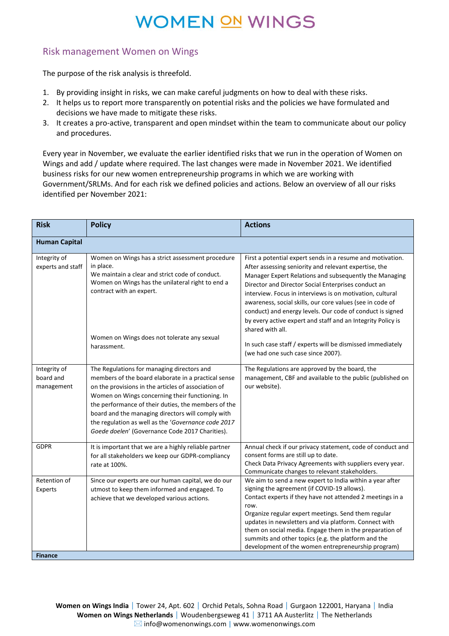#### Risk management Women on Wings

The purpose of the risk analysis is threefold.

- 1. By providing insight in risks, we can make careful judgments on how to deal with these risks.
- 2. It helps us to report more transparently on potential risks and the policies we have formulated and decisions we have made to mitigate these risks.
- 3. It creates a pro-active, transparent and open mindset within the team to communicate about our policy and procedures.

Every year in November, we evaluate the earlier identified risks that we run in the operation of Women on Wings and add / update where required. The last changes were made in November 2021. We identified business risks for our new women entrepreneurship programs in which we are working with Government/SRLMs. And for each risk we defined policies and actions. Below an overview of all our risks identified per November 2021:

| <b>Risk</b>                             | <b>Policy</b>                                                                                                                                                                                                                                                                                                                                                                                                                     | <b>Actions</b>                                                                                                                                                                                                                                                                                                                                                                                                                                                                                                 |
|-----------------------------------------|-----------------------------------------------------------------------------------------------------------------------------------------------------------------------------------------------------------------------------------------------------------------------------------------------------------------------------------------------------------------------------------------------------------------------------------|----------------------------------------------------------------------------------------------------------------------------------------------------------------------------------------------------------------------------------------------------------------------------------------------------------------------------------------------------------------------------------------------------------------------------------------------------------------------------------------------------------------|
| <b>Human Capital</b>                    |                                                                                                                                                                                                                                                                                                                                                                                                                                   |                                                                                                                                                                                                                                                                                                                                                                                                                                                                                                                |
| Integrity of<br>experts and staff       | Women on Wings has a strict assessment procedure<br>in place.<br>We maintain a clear and strict code of conduct.<br>Women on Wings has the unilateral right to end a<br>contract with an expert.                                                                                                                                                                                                                                  | First a potential expert sends in a resume and motivation.<br>After assessing seniority and relevant expertise, the<br>Manager Expert Relations and subsequently the Managing<br>Director and Director Social Enterprises conduct an<br>interview. Focus in interviews is on motivation, cultural<br>awareness, social skills, our core values (see in code of<br>conduct) and energy levels. Our code of conduct is signed<br>by every active expert and staff and an Integrity Policy is<br>shared with all. |
|                                         | Women on Wings does not tolerate any sexual<br>harassment.                                                                                                                                                                                                                                                                                                                                                                        | In such case staff / experts will be dismissed immediately<br>(we had one such case since 2007).                                                                                                                                                                                                                                                                                                                                                                                                               |
| Integrity of<br>board and<br>management | The Regulations for managing directors and<br>members of the board elaborate in a practical sense<br>on the provisions in the articles of association of<br>Women on Wings concerning their functioning. In<br>the performance of their duties, the members of the<br>board and the managing directors will comply with<br>the regulation as well as the 'Governance code 2017<br>Goede doelen' (Governance Code 2017 Charities). | The Regulations are approved by the board, the<br>management, CBF and available to the public (published on<br>our website).                                                                                                                                                                                                                                                                                                                                                                                   |
| <b>GDPR</b>                             | It is important that we are a highly reliable partner<br>for all stakeholders we keep our GDPR-compliancy<br>rate at 100%.                                                                                                                                                                                                                                                                                                        | Annual check if our privacy statement, code of conduct and<br>consent forms are still up to date.<br>Check Data Privacy Agreements with suppliers every year.<br>Communicate changes to relevant stakeholders.                                                                                                                                                                                                                                                                                                 |
| Retention of<br>Experts                 | Since our experts are our human capital, we do our<br>utmost to keep them informed and engaged. To<br>achieve that we developed various actions.                                                                                                                                                                                                                                                                                  | We aim to send a new expert to India within a year after<br>signing the agreement (if COVID-19 allows).<br>Contact experts if they have not attended 2 meetings in a<br>row.<br>Organize regular expert meetings. Send them regular<br>updates in newsletters and via platform. Connect with<br>them on social media. Engage them in the preparation of<br>summits and other topics (e.g. the platform and the<br>development of the women entrepreneurship program)                                           |
| <b>Finance</b>                          |                                                                                                                                                                                                                                                                                                                                                                                                                                   |                                                                                                                                                                                                                                                                                                                                                                                                                                                                                                                |

**Women on Wings India** Tower 24, Apt. 602 | Orchid Petals, Sohna Road | Gurgaon 122001, Haryana | India **Women on Wings Netherlands** | Woudenbergseweg 41 | 3711 AA Austerlitz | The Netherlands  $\boxtimes$  [info@womenonwings.com](mailto:ineke@womenonwings.com) | www.womenonwings.com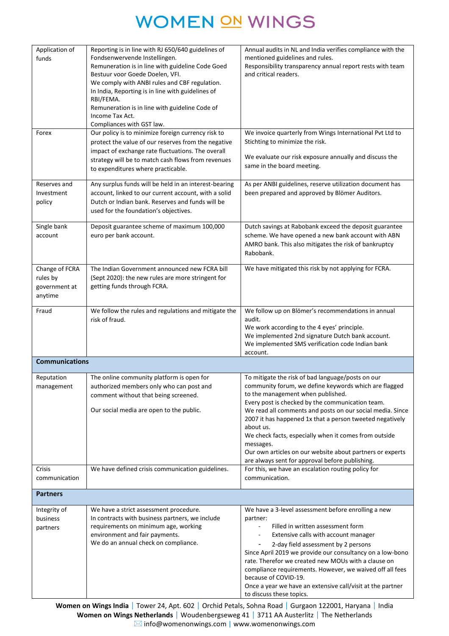| Application of<br>funds<br>Forex                       | Reporting is in line with RJ 650/640 guidelines of<br>Fondsenwervende Instellingen.<br>Remuneration is in line with guideline Code Goed<br>Bestuur voor Goede Doelen, VFI.<br>We comply with ANBI rules and CBF regulation.<br>In India, Reporting is in line with guidelines of<br>RBI/FEMA.<br>Remuneration is in line with guideline Code of<br>Income Tax Act.<br>Compliances with GST law.<br>Our policy is to minimize foreign currency risk to<br>protect the value of our reserves from the negative | Annual audits in NL and India verifies compliance with the<br>mentioned guidelines and rules.<br>Responsibility transparency annual report rests with team<br>and critical readers.<br>We invoice quarterly from Wings International Pvt Ltd to<br>Stichting to minimize the risk.                                                                                                                                                                                                                                              |
|--------------------------------------------------------|--------------------------------------------------------------------------------------------------------------------------------------------------------------------------------------------------------------------------------------------------------------------------------------------------------------------------------------------------------------------------------------------------------------------------------------------------------------------------------------------------------------|---------------------------------------------------------------------------------------------------------------------------------------------------------------------------------------------------------------------------------------------------------------------------------------------------------------------------------------------------------------------------------------------------------------------------------------------------------------------------------------------------------------------------------|
|                                                        | impact of exchange rate fluctuations. The overall<br>strategy will be to match cash flows from revenues<br>to expenditures where practicable.                                                                                                                                                                                                                                                                                                                                                                | We evaluate our risk exposure annually and discuss the<br>same in the board meeting.                                                                                                                                                                                                                                                                                                                                                                                                                                            |
| Reserves and<br>Investment<br>policy                   | Any surplus funds will be held in an interest-bearing<br>account, linked to our current account, with a solid<br>Dutch or Indian bank. Reserves and funds will be<br>used for the foundation's objectives.                                                                                                                                                                                                                                                                                                   | As per ANBI guidelines, reserve utilization document has<br>been prepared and approved by Blömer Auditors.                                                                                                                                                                                                                                                                                                                                                                                                                      |
| Single bank<br>account                                 | Deposit guarantee scheme of maximum 100,000<br>euro per bank account.                                                                                                                                                                                                                                                                                                                                                                                                                                        | Dutch savings at Rabobank exceed the deposit guarantee<br>scheme. We have opened a new bank account with ABN<br>AMRO bank. This also mitigates the risk of bankruptcy<br>Rabobank.                                                                                                                                                                                                                                                                                                                                              |
| Change of FCRA<br>rules by<br>government at<br>anytime | The Indian Government announced new FCRA bill<br>(Sept 2020): the new rules are more stringent for<br>getting funds through FCRA.                                                                                                                                                                                                                                                                                                                                                                            | We have mitigated this risk by not applying for FCRA.                                                                                                                                                                                                                                                                                                                                                                                                                                                                           |
| Fraud                                                  | We follow the rules and regulations and mitigate the<br>risk of fraud.                                                                                                                                                                                                                                                                                                                                                                                                                                       | We follow up on Blömer's recommendations in annual<br>audit.<br>We work according to the 4 eyes' principle.<br>We implemented 2nd signature Dutch bank account.<br>We implemented SMS verification code Indian bank<br>account.                                                                                                                                                                                                                                                                                                 |
| <b>Communications</b>                                  |                                                                                                                                                                                                                                                                                                                                                                                                                                                                                                              |                                                                                                                                                                                                                                                                                                                                                                                                                                                                                                                                 |
| Reputation<br>management                               | The online community platform is open for<br>authorized members only who can post and<br>comment without that being screened.<br>Our social media are open to the public.                                                                                                                                                                                                                                                                                                                                    | To mitigate the risk of bad language/posts on our<br>community forum, we define keywords which are flagged<br>to the management when published.<br>Every post is checked by the communication team.<br>We read all comments and posts on our social media. Since<br>2007 it has happened 1x that a person tweeted negatively<br>about us.<br>We check facts, especially when it comes from outside<br>messages.<br>Our own articles on our website about partners or experts<br>are always sent for approval before publishing. |
| <b>Crisis</b><br>communication                         | We have defined crisis communication guidelines.                                                                                                                                                                                                                                                                                                                                                                                                                                                             | For this, we have an escalation routing policy for<br>communication.                                                                                                                                                                                                                                                                                                                                                                                                                                                            |
| <b>Partners</b>                                        |                                                                                                                                                                                                                                                                                                                                                                                                                                                                                                              |                                                                                                                                                                                                                                                                                                                                                                                                                                                                                                                                 |
| Integrity of<br>business<br>partners                   | We have a strict assessment procedure.<br>In contracts with business partners, we include<br>requirements on minimum age, working<br>environment and fair payments.<br>We do an annual check on compliance.                                                                                                                                                                                                                                                                                                  | We have a 3-level assessment before enrolling a new<br>partner:<br>Filled in written assessment form<br>Extensive calls with account manager<br>2-day field assessment by 2 persons<br>Since April 2019 we provide our consultancy on a low-bono<br>rate. Therefor we created new MOUs with a clause on<br>compliance requirements. However, we waived off all fees<br>because of COVID-19.<br>Once a year we have an extensive call/visit at the partner<br>to discuss these topics.                                           |

Women on Wings India | Tower 24, Apt. 602 | Orchid Petals, Sohna Road | Gurgaon 122001, Haryana | India **Women on Wings Netherlands** | Woudenbergseweg 41 | 3711 AA Austerlitz | The Netherlands [info@womenonwings.com](mailto:ineke@womenonwings.com) | www.womenonwings.com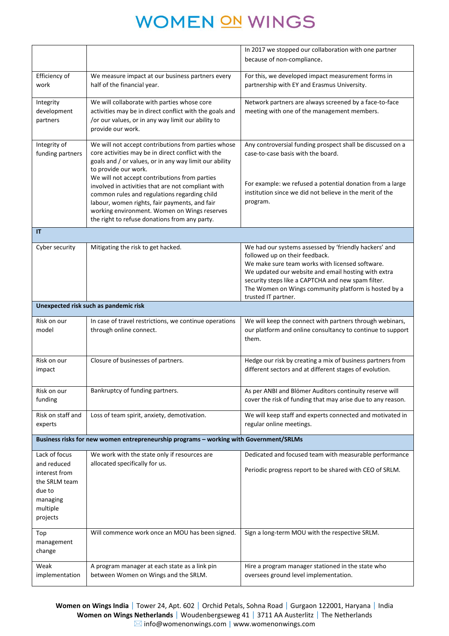|                         |                                                                                                               | In 2017 we stopped our collaboration with one partner                                                                  |
|-------------------------|---------------------------------------------------------------------------------------------------------------|------------------------------------------------------------------------------------------------------------------------|
|                         |                                                                                                               | because of non-compliance.                                                                                             |
| Efficiency of           | We measure impact at our business partners every                                                              | For this, we developed impact measurement forms in                                                                     |
| work                    | half of the financial year.                                                                                   | partnership with EY and Erasmus University.                                                                            |
| Integrity               | We will collaborate with parties whose core                                                                   | Network partners are always screened by a face-to-face                                                                 |
| development<br>partners | activities may be in direct conflict with the goals and<br>/or our values, or in any way limit our ability to | meeting with one of the management members.                                                                            |
|                         | provide our work.                                                                                             |                                                                                                                        |
| Integrity of            | We will not accept contributions from parties whose                                                           | Any controversial funding prospect shall be discussed on a                                                             |
| funding partners        | core activities may be in direct conflict with the<br>goals and / or values, or in any way limit our ability  | case-to-case basis with the board.                                                                                     |
|                         | to provide our work.                                                                                          |                                                                                                                        |
|                         | We will not accept contributions from parties<br>involved in activities that are not compliant with           | For example: we refused a potential donation from a large                                                              |
|                         | common rules and regulations regarding child                                                                  | institution since we did not believe in the merit of the                                                               |
|                         | labour, women rights, fair payments, and fair                                                                 | program.                                                                                                               |
|                         | working environment. Women on Wings reserves<br>the right to refuse donations from any party.                 |                                                                                                                        |
| $\mathsf{I}\mathsf{T}$  |                                                                                                               |                                                                                                                        |
| Cyber security          | Mitigating the risk to get hacked.                                                                            | We had our systems assessed by 'friendly hackers' and                                                                  |
|                         |                                                                                                               | followed up on their feedback.                                                                                         |
|                         |                                                                                                               | We make sure team works with licensed software.                                                                        |
|                         |                                                                                                               | We updated our website and email hosting with extra<br>security steps like a CAPTCHA and new spam filter.              |
|                         |                                                                                                               | The Women on Wings community platform is hosted by a                                                                   |
|                         |                                                                                                               | trusted IT partner.                                                                                                    |
|                         | Unexpected risk such as pandemic risk                                                                         |                                                                                                                        |
| Risk on our<br>model    | In case of travel restrictions, we continue operations<br>through online connect.                             | We will keep the connect with partners through webinars,<br>our platform and online consultancy to continue to support |
|                         |                                                                                                               | them.                                                                                                                  |
|                         |                                                                                                               |                                                                                                                        |
| Risk on our             | Closure of businesses of partners.                                                                            | Hedge our risk by creating a mix of business partners from                                                             |
| impact                  |                                                                                                               | different sectors and at different stages of evolution.                                                                |
| Risk on our             | Bankruptcy of funding partners.                                                                               | As per ANBI and Blömer Auditors continuity reserve will                                                                |
| funding                 |                                                                                                               | cover the risk of funding that may arise due to any reason.                                                            |
| Risk on staff and       | Loss of team spirit, anxiety, demotivation.                                                                   | We will keep staff and experts connected and motivated in                                                              |
| experts                 |                                                                                                               | regular online meetings.                                                                                               |
|                         | Business risks for new women entrepreneurship programs - working with Government/SRLMs                        |                                                                                                                        |
| Lack of focus           | We work with the state only if resources are                                                                  | Dedicated and focused team with measurable performance                                                                 |
| and reduced             | allocated specifically for us.                                                                                |                                                                                                                        |
| interest from           |                                                                                                               | Periodic progress report to be shared with CEO of SRLM.                                                                |
| the SRLM team           |                                                                                                               |                                                                                                                        |
| due to<br>managing      |                                                                                                               |                                                                                                                        |
| multiple                |                                                                                                               |                                                                                                                        |
| projects                |                                                                                                               |                                                                                                                        |
| Top                     | Will commence work once an MOU has been signed.                                                               | Sign a long-term MOU with the respective SRLM.                                                                         |
| management              |                                                                                                               |                                                                                                                        |
| change                  |                                                                                                               |                                                                                                                        |
| Weak                    | A program manager at each state as a link pin                                                                 | Hire a program manager stationed in the state who                                                                      |
| implementation          | between Women on Wings and the SRLM.                                                                          | oversees ground level implementation.                                                                                  |